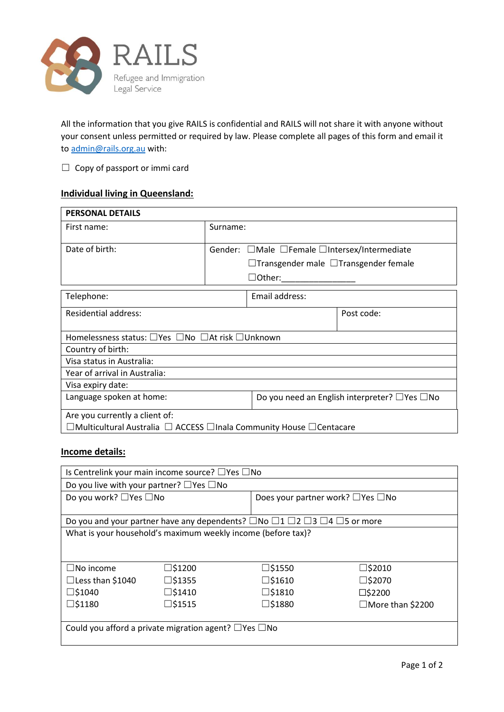

All the information that you give RAILS is confidential and RAILS will not share it with anyone without your consent unless permitted or required by law. Please complete all pages of this form and email it to [admin@rails.org.au](mailto:admin@rails.org.au) with:

 $\Box$  Copy of passport or immi card

## **Individual living in Queensland:**

| <b>PERSONAL DETAILS</b>                                             |                                                   |                                                          |            |  |  |
|---------------------------------------------------------------------|---------------------------------------------------|----------------------------------------------------------|------------|--|--|
| First name:                                                         | Surname:                                          |                                                          |            |  |  |
|                                                                     |                                                   |                                                          |            |  |  |
| Date of birth:                                                      | Gender: □Male □Female □Intersex/Intermediate      |                                                          |            |  |  |
|                                                                     | $\Box$ Transgender male $\Box$ Transgender female |                                                          |            |  |  |
|                                                                     |                                                   | $\Box$ Other:                                            |            |  |  |
| Telephone:                                                          |                                                   | Email address:                                           |            |  |  |
| <b>Residential address:</b>                                         |                                                   |                                                          | Post code: |  |  |
| Homelessness status: □ Yes □ No □ At risk □ Unknown                 |                                                   |                                                          |            |  |  |
| Country of birth:                                                   |                                                   |                                                          |            |  |  |
| Visa status in Australia:                                           |                                                   |                                                          |            |  |  |
| Year of arrival in Australia:                                       |                                                   |                                                          |            |  |  |
| Visa expiry date:                                                   |                                                   |                                                          |            |  |  |
| Language spoken at home:                                            |                                                   | Do you need an English interpreter? $\Box$ Yes $\Box$ No |            |  |  |
| Are you currently a client of:                                      |                                                   |                                                          |            |  |  |
| □Multicultural Australia □ ACCESS □Inala Community House □Centacare |                                                   |                                                          |            |  |  |

## **Income details:**

| Is Centrelink your main income source? $\Box$ Yes $\Box$ No                                                 |                  |                                              |                         |  |  |  |
|-------------------------------------------------------------------------------------------------------------|------------------|----------------------------------------------|-------------------------|--|--|--|
| Do you live with your partner? $\Box$ Yes $\Box$ No                                                         |                  |                                              |                         |  |  |  |
| Do you work? □ Yes □ No                                                                                     |                  | Does your partner work? $\Box$ Yes $\Box$ No |                         |  |  |  |
|                                                                                                             |                  |                                              |                         |  |  |  |
| Do you and your partner have any dependents? $\Box$ No $\Box$ 1 $\Box$ 2 $\Box$ 3 $\Box$ 4 $\Box$ 5 or more |                  |                                              |                         |  |  |  |
| What is your household's maximum weekly income (before tax)?                                                |                  |                                              |                         |  |  |  |
|                                                                                                             |                  |                                              |                         |  |  |  |
|                                                                                                             |                  |                                              |                         |  |  |  |
| $\Box$ No income                                                                                            | $\square$ \$1200 | $\square$ \$1550                             | □\$2010                 |  |  |  |
| $\Box$ Less than \$1040                                                                                     | $\square$ \$1355 | $\square$ \$1610                             | $\square$ \$2070        |  |  |  |
| $\square$ \$1040                                                                                            | $\square$ \$1410 | $\square$ \$1810                             | $\square$ \$2200        |  |  |  |
| $\square$ \$1180                                                                                            | $\square$ \$1515 | $\square$ \$1880                             | $\Box$ More than \$2200 |  |  |  |
|                                                                                                             |                  |                                              |                         |  |  |  |
| Could you afford a private migration agent? $\Box$ Yes $\Box$ No                                            |                  |                                              |                         |  |  |  |
|                                                                                                             |                  |                                              |                         |  |  |  |